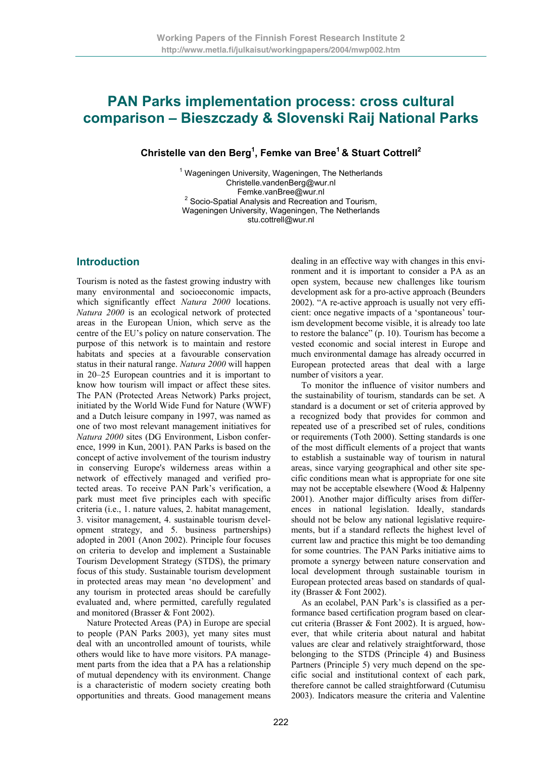# **PAN Parks implementation process: cross cultural comparison – Bieszczady & Slovenski Raij National Parks**

### **Christelle van den Berg<sup>1</sup> , Femke van Bree1 & Stuart Cottrell2**

<sup>1</sup> Wageningen University, Wageningen, The Netherlands Christelle.vandenBerg@wur.nl<br>Femke.vanBree@wur.nl Femke.vanBree@wur.nl<br><sup>2</sup> Socio-Spatial Analysis and Recreation and Tourism, Wageningen University, Wageningen, The Netherlands stu.cottrell@wur.nl

# **Introduction**

Tourism is noted as the fastest growing industry with many environmental and socioeconomic impacts, which significantly effect *Natura 2000* locations. *Natura 2000* is an ecological network of protected areas in the European Union, which serve as the centre of the EU's policy on nature conservation. The purpose of this network is to maintain and restore habitats and species at a favourable conservation status in their natural range. *Natura 2000* will happen in 20–25 European countries and it is important to know how tourism will impact or affect these sites. The PAN (Protected Areas Network) Parks project, initiated by the World Wide Fund for Nature (WWF) and a Dutch leisure company in 1997, was named as one of two most relevant management initiatives for *Natura 2000* sites (DG Environment, Lisbon conference, 1999 in Kun, 2001). PAN Parks is based on the concept of active involvement of the tourism industry in conserving Europe's wilderness areas within a network of effectively managed and verified protected areas. To receive PAN Park's verification, a park must meet five principles each with specific criteria (i.e., 1. nature values, 2. habitat management, 3. visitor management, 4. sustainable tourism development strategy, and 5. business partnerships) adopted in 2001 (Anon 2002). Principle four focuses on criteria to develop and implement a Sustainable Tourism Development Strategy (STDS), the primary focus of this study. Sustainable tourism development in protected areas may mean 'no development' and any tourism in protected areas should be carefully evaluated and, where permitted, carefully regulated and monitored (Brasser & Font 2002).

Nature Protected Areas (PA) in Europe are special to people (PAN Parks 2003), yet many sites must deal with an uncontrolled amount of tourists, while others would like to have more visitors. PA management parts from the idea that a PA has a relationship of mutual dependency with its environment. Change is a characteristic of modern society creating both opportunities and threats. Good management means dealing in an effective way with changes in this environment and it is important to consider a PA as an open system, because new challenges like tourism development ask for a pro-active approach (Beunders 2002). "A re-active approach is usually not very efficient: once negative impacts of a 'spontaneous' tourism development become visible, it is already too late to restore the balance" (p. 10). Tourism has become a vested economic and social interest in Europe and much environmental damage has already occurred in European protected areas that deal with a large number of visitors a year.

To monitor the influence of visitor numbers and the sustainability of tourism, standards can be set. A standard is a document or set of criteria approved by a recognized body that provides for common and repeated use of a prescribed set of rules, conditions or requirements (Toth 2000). Setting standards is one of the most difficult elements of a project that wants to establish a sustainable way of tourism in natural areas, since varying geographical and other site specific conditions mean what is appropriate for one site may not be acceptable elsewhere (Wood & Halpenny 2001). Another major difficulty arises from differences in national legislation. Ideally, standards should not be below any national legislative requirements, but if a standard reflects the highest level of current law and practice this might be too demanding for some countries. The PAN Parks initiative aims to promote a synergy between nature conservation and local development through sustainable tourism in European protected areas based on standards of quality (Brasser & Font 2002).

As an ecolabel, PAN Park's is classified as a performance based certification program based on clearcut criteria (Brasser & Font 2002). It is argued, however, that while criteria about natural and habitat values are clear and relatively straightforward, those belonging to the STDS (Principle 4) and Business Partners (Principle 5) very much depend on the specific social and institutional context of each park, therefore cannot be called straightforward (Cutumisu 2003). Indicators measure the criteria and Valentine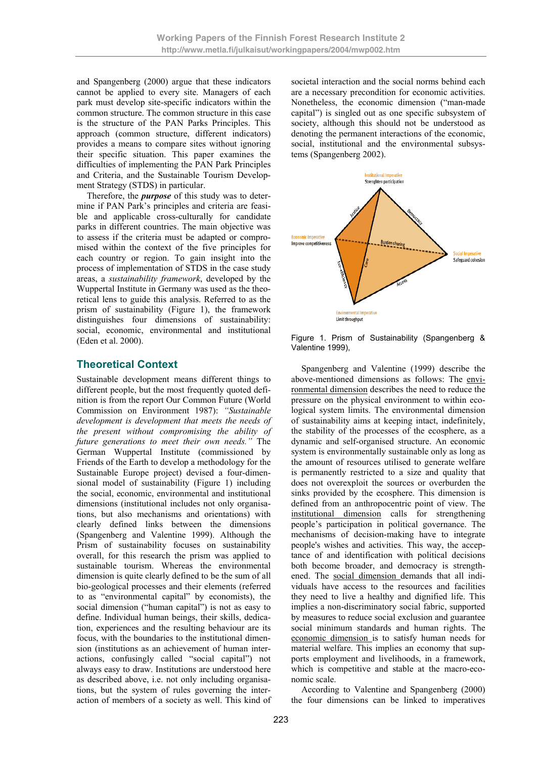and Spangenberg (2000) argue that these indicators cannot be applied to every site. Managers of each park must develop site-specific indicators within the common structure. The common structure in this case is the structure of the PAN Parks Principles. This approach (common structure, different indicators) provides a means to compare sites without ignoring their specific situation. This paper examines the difficulties of implementing the PAN Park Principles and Criteria, and the Sustainable Tourism Development Strategy (STDS) in particular.

Therefore, the *purpose* of this study was to determine if PAN Park's principles and criteria are feasible and applicable cross-culturally for candidate parks in different countries. The main objective was to assess if the criteria must be adapted or compromised within the context of the five principles for each country or region. To gain insight into the process of implementation of STDS in the case study areas, a *sustainability framework*, developed by the Wuppertal Institute in Germany was used as the theoretical lens to guide this analysis. Referred to as the prism of sustainability (Figure 1), the framework distinguishes four dimensions of sustainability: social, economic, environmental and institutional (Eden et al. 2000).

# **Theoretical Context**

Sustainable development means different things to different people, but the most frequently quoted definition is from the report Our Common Future (World Commission on Environment 1987): *"Sustainable development is development that meets the needs of the present without compromising the ability of future generations to meet their own needs."* The German Wuppertal Institute (commissioned by Friends of the Earth to develop a methodology for the Sustainable Europe project) devised a four-dimensional model of sustainability (Figure 1) including the social, economic, environmental and institutional dimensions (institutional includes not only organisations, but also mechanisms and orientations) with clearly defined links between the dimensions (Spangenberg and Valentine 1999). Although the Prism of sustainability focuses on sustainability overall, for this research the prism was applied to sustainable tourism. Whereas the environmental dimension is quite clearly defined to be the sum of all bio-geological processes and their elements (referred to as "environmental capital" by economists), the social dimension ("human capital") is not as easy to define. Individual human beings, their skills, dedication, experiences and the resulting behaviour are its focus, with the boundaries to the institutional dimension (institutions as an achievement of human interactions, confusingly called "social capital") not always easy to draw. Institutions are understood here as described above, i.e. not only including organisations, but the system of rules governing the interaction of members of a society as well. This kind of societal interaction and the social norms behind each are a necessary precondition for economic activities. Nonetheless, the economic dimension ("man-made capital") is singled out as one specific subsystem of society, although this should not be understood as denoting the permanent interactions of the economic, social, institutional and the environmental subsystems (Spangenberg 2002).



Figure 1. Prism of Sustainability (Spangenberg & Valentine 1999),

Spangenberg and Valentine (1999) describe the above-mentioned dimensions as follows: The environmental dimension describes the need to reduce the pressure on the physical environment to within ecological system limits. The environmental dimension of sustainability aims at keeping intact, indefinitely, the stability of the processes of the ecosphere, as a dynamic and self-organised structure. An economic system is environmentally sustainable only as long as the amount of resources utilised to generate welfare is permanently restricted to a size and quality that does not overexploit the sources or overburden the sinks provided by the ecosphere. This dimension is defined from an anthropocentric point of view. The institutional dimension calls for strengthening people's participation in political governance. The mechanisms of decision-making have to integrate people's wishes and activities. This way, the acceptance of and identification with political decisions both become broader, and democracy is strengthened. The social dimension demands that all individuals have access to the resources and facilities they need to live a healthy and dignified life. This implies a non-discriminatory social fabric, supported by measures to reduce social exclusion and guarantee social minimum standards and human rights. The economic dimension is to satisfy human needs for material welfare. This implies an economy that supports employment and livelihoods, in a framework, which is competitive and stable at the macro-economic scale.

According to Valentine and Spangenberg (2000) the four dimensions can be linked to imperatives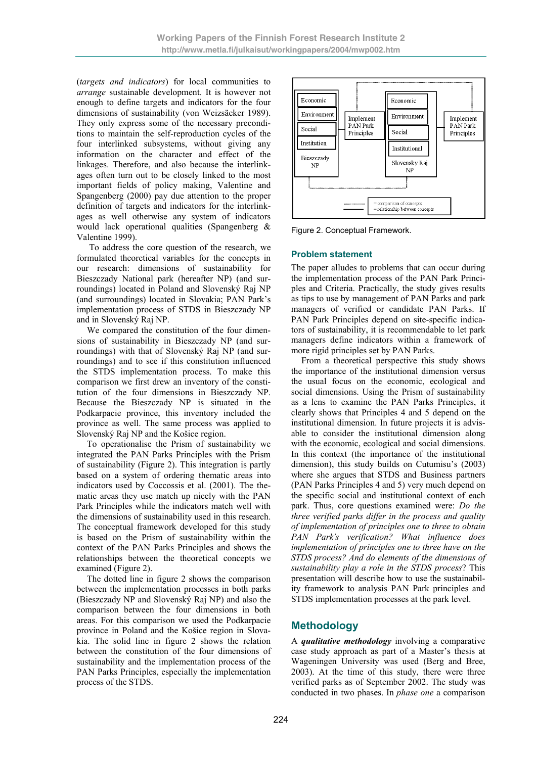(*targets and indicators*) for local communities to *arrange* sustainable development. It is however not enough to define targets and indicators for the four dimensions of sustainability (von Weizsäcker 1989). They only express some of the necessary preconditions to maintain the self-reproduction cycles of the four interlinked subsystems, without giving any information on the character and effect of the linkages. Therefore, and also because the interlinkages often turn out to be closely linked to the most important fields of policy making, Valentine and Spangenberg (2000) pay due attention to the proper definition of targets and indicators for the interlinkages as well otherwise any system of indicators would lack operational qualities (Spangenberg & Valentine 1999).

 To address the core question of the research, we formulated theoretical variables for the concepts in our research: dimensions of sustainability for Bieszczady National park (hereafter NP) (and surroundings) located in Poland and Slovenský Raj NP (and surroundings) located in Slovakia; PAN Park's implementation process of STDS in Bieszczady NP and in Slovenský Raj NP.

We compared the constitution of the four dimensions of sustainability in Bieszczady NP (and surroundings) with that of Slovenský Raj NP (and surroundings) and to see if this constitution influenced the STDS implementation process. To make this comparison we first drew an inventory of the constitution of the four dimensions in Bieszczady NP. Because the Bieszczady NP is situated in the Podkarpacie province, this inventory included the province as well. The same process was applied to Slovenský Raj NP and the Košice region.

To operationalise the Prism of sustainability we integrated the PAN Parks Principles with the Prism of sustainability (Figure 2). This integration is partly based on a system of ordering thematic areas into indicators used by Coccossis et al. (2001). The thematic areas they use match up nicely with the PAN Park Principles while the indicators match well with the dimensions of sustainability used in this research. The conceptual framework developed for this study is based on the Prism of sustainability within the context of the PAN Parks Principles and shows the relationships between the theoretical concepts we examined (Figure 2).

The dotted line in figure 2 shows the comparison between the implementation processes in both parks (Bieszczady NP and Slovenský Raj NP) and also the comparison between the four dimensions in both areas. For this comparison we used the Podkarpacie province in Poland and the Košice region in Slovakia. The solid line in figure 2 shows the relation between the constitution of the four dimensions of sustainability and the implementation process of the PAN Parks Principles, especially the implementation process of the STDS.



Figure 2. Conceptual Framework.

#### **Problem statement**

The paper alludes to problems that can occur during the implementation process of the PAN Park Principles and Criteria. Practically, the study gives results as tips to use by management of PAN Parks and park managers of verified or candidate PAN Parks. If PAN Park Principles depend on site-specific indicators of sustainability, it is recommendable to let park managers define indicators within a framework of more rigid principles set by PAN Parks.

From a theoretical perspective this study shows the importance of the institutional dimension versus the usual focus on the economic, ecological and social dimensions. Using the Prism of sustainability as a lens to examine the PAN Parks Principles, it clearly shows that Principles 4 and 5 depend on the institutional dimension. In future projects it is advisable to consider the institutional dimension along with the economic, ecological and social dimensions. In this context (the importance of the institutional dimension), this study builds on Cutumisu's (2003) where she argues that STDS and Business partners (PAN Parks Principles 4 and 5) very much depend on the specific social and institutional context of each park. Thus, core questions examined were: *Do the three verified parks differ in the process and quality of implementation of principles one to three to obtain PAN Park's verification? What influence does implementation of principles one to three have on the STDS process? And do elements of the dimensions of sustainability play a role in the STDS process*? This presentation will describe how to use the sustainability framework to analysis PAN Park principles and STDS implementation processes at the park level.

# **Methodology**

A *qualitative methodology* involving a comparative case study approach as part of a Master's thesis at Wageningen University was used (Berg and Bree, 2003). At the time of this study, there were three verified parks as of September 2002. The study was conducted in two phases. In *phase one* a comparison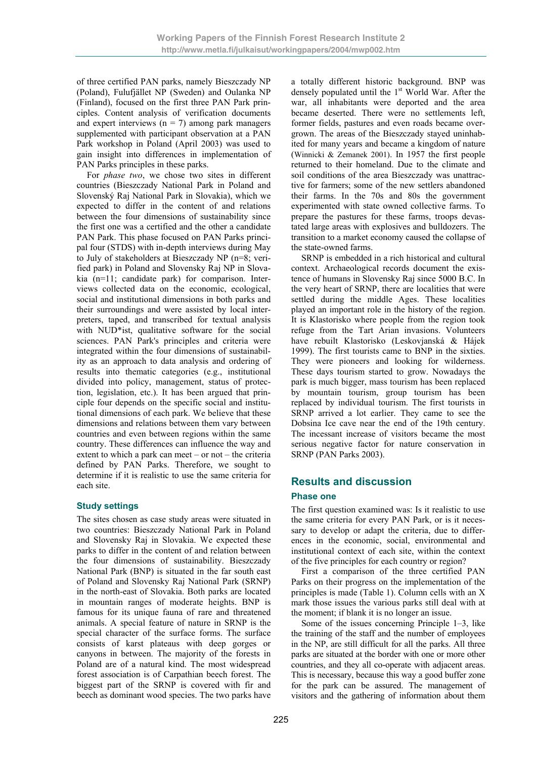of three certified PAN parks, namely Bieszczady NP (Poland), Fulufjället NP (Sweden) and Oulanka NP (Finland), focused on the first three PAN Park principles. Content analysis of verification documents and expert interviews  $(n = 7)$  among park managers supplemented with participant observation at a PAN Park workshop in Poland (April 2003) was used to gain insight into differences in implementation of PAN Parks principles in these parks.

For *phase two*, we chose two sites in different countries (Bieszczady National Park in Poland and Slovenský Raj National Park in Slovakia), which we expected to differ in the content of and relations between the four dimensions of sustainability since the first one was a certified and the other a candidate PAN Park. This phase focused on PAN Parks principal four (STDS) with in-depth interviews during May to July of stakeholders at Bieszczady NP (n=8; verified park) in Poland and Slovensky Raj NP in Slovakia (n=11; candidate park) for comparison. Interviews collected data on the economic, ecological, social and institutional dimensions in both parks and their surroundings and were assisted by local interpreters, taped, and transcribed for textual analysis with NUD\*ist, qualitative software for the social sciences. PAN Park's principles and criteria were integrated within the four dimensions of sustainability as an approach to data analysis and ordering of results into thematic categories (e.g., institutional divided into policy, management, status of protection, legislation, etc.). It has been argued that principle four depends on the specific social and institutional dimensions of each park. We believe that these dimensions and relations between them vary between countries and even between regions within the same country. These differences can influence the way and extent to which a park can meet – or not – the criteria defined by PAN Parks. Therefore, we sought to determine if it is realistic to use the same criteria for each site.

#### **Study settings**

The sites chosen as case study areas were situated in two countries: Bieszczady National Park in Poland and Slovensky Raj in Slovakia. We expected these parks to differ in the content of and relation between the four dimensions of sustainability. Bieszczady National Park (BNP) is situated in the far south east of Poland and Slovensky Raj National Park (SRNP) in the north-east of Slovakia. Both parks are located in mountain ranges of moderate heights. BNP is famous for its unique fauna of rare and threatened animals. A special feature of nature in SRNP is the special character of the surface forms. The surface consists of karst plateaus with deep gorges or canyons in between. The majority of the forests in Poland are of a natural kind. The most widespread forest association is of Carpathian beech forest. The biggest part of the SRNP is covered with fir and beech as dominant wood species. The two parks have

a totally different historic background. BNP was densely populated until the  $1<sup>st</sup>$  World War. After the war, all inhabitants were deported and the area became deserted. There were no settlements left, former fields, pastures and even roads became overgrown. The areas of the Bieszczady stayed uninhabited for many years and became a kingdom of nature (Winnicki & Zemanek 2001). In 1957 the first people returned to their homeland. Due to the climate and soil conditions of the area Bieszczady was unattractive for farmers; some of the new settlers abandoned their farms. In the 70s and 80s the government experimented with state owned collective farms. To prepare the pastures for these farms, troops devastated large areas with explosives and bulldozers. The transition to a market economy caused the collapse of the state-owned farms.

SRNP is embedded in a rich historical and cultural context. Archaeological records document the existence of humans in Slovensky Raj since 5000 B.C. In the very heart of SRNP, there are localities that were settled during the middle Ages. These localities played an important role in the history of the region. It is Klastorisko where people from the region took refuge from the Tart Arian invasions. Volunteers have rebuilt Klastorisko (Leskovjanská & Hájek 1999). The first tourists came to BNP in the sixties. They were pioneers and looking for wilderness. These days tourism started to grow. Nowadays the park is much bigger, mass tourism has been replaced by mountain tourism, group tourism has been replaced by individual tourism. The first tourists in SRNP arrived a lot earlier. They came to see the Dobsina Ice cave near the end of the 19th century. The incessant increase of visitors became the most serious negative factor for nature conservation in SRNP (PAN Parks 2003).

# **Results and discussion**

#### **Phase one**

The first question examined was: Is it realistic to use the same criteria for every PAN Park, or is it necessary to develop or adapt the criteria, due to differences in the economic, social, environmental and institutional context of each site, within the context of the five principles for each country or region?

First a comparison of the three certified PAN Parks on their progress on the implementation of the principles is made (Table 1). Column cells with an X mark those issues the various parks still deal with at the moment; if blank it is no longer an issue.

Some of the issues concerning Principle 1–3, like the training of the staff and the number of employees in the NP, are still difficult for all the parks. All three parks are situated at the border with one or more other countries, and they all co-operate with adjacent areas. This is necessary, because this way a good buffer zone for the park can be assured. The management of visitors and the gathering of information about them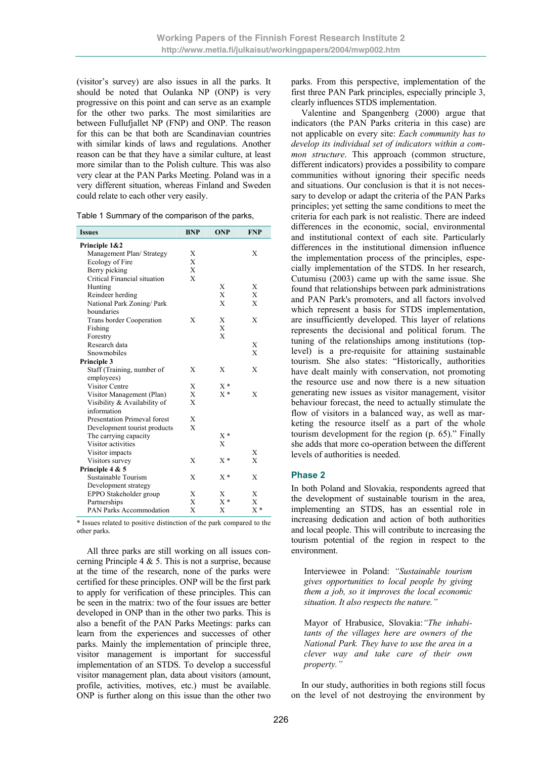(visitor's survey) are also issues in all the parks. It should be noted that Oulanka NP (ONP) is very progressive on this point and can serve as an example for the other two parks. The most similarities are between Fullufjallet NP (FNP) and ONP. The reason for this can be that both are Scandinavian countries with similar kinds of laws and regulations. Another reason can be that they have a similar culture, at least more similar than to the Polish culture. This was also very clear at the PAN Parks Meeting. Poland was in a very different situation, whereas Finland and Sweden could relate to each other very easily.

| <b>Issues</b>                       | <b>BNP</b>   | <b>ONP</b> | <b>FNP</b> |
|-------------------------------------|--------------|------------|------------|
| Principle 1&2                       |              |            |            |
| Management Plan/Strategy            | X            |            | X          |
| Ecology of Fire                     | X            |            |            |
| Berry picking                       | X            |            |            |
| Critical Financial situation        | $\mathbf{X}$ |            |            |
| Hunting                             |              | X          | Χ          |
| Reindeer herding                    |              | X          | X          |
| National Park Zoning/ Park          |              | X          | X          |
| boundaries                          |              |            |            |
| Trans border Cooperation            | X            | X          | X          |
| Fishing                             |              | X          |            |
| Forestry                            |              | X          |            |
| Research data                       |              |            | X          |
| Snowmobiles                         |              |            | X          |
| Principle 3                         |              |            |            |
| Staff (Training, number of          | X            | X          | X          |
| employees)                          |              |            |            |
| <b>Visitor Centre</b>               | Χ            | $X^*$      |            |
| Visitor Management (Plan)           | X            | $X^*$      | X          |
| Visibility & Availability of        | $\mathbf{x}$ |            |            |
| information                         |              |            |            |
| <b>Presentation Primeval forest</b> | X            |            |            |
| Development tourist products        | X            |            |            |
| The carrying capacity               |              | $X^*$      |            |
| Visitor activities                  |              | X          |            |
| Visitor impacts                     |              |            | X          |
| Visitors survey                     | X            | $X^*$      | X          |
| Principle 4 & 5                     |              |            |            |
| Sustainable Tourism                 | X            | $X^*$      | X          |
| Development strategy                |              |            |            |
| EPPO Stakeholder group              | X            | Х          | Х          |
| Partnerships                        | X            | $X^*$      | X          |
| PAN Parks Accommodation             | X            | Х          | $X^*$      |

\* Issues related to positive distinction of the park compared to the other parks.

All three parks are still working on all issues concerning Principle 4  $\&$  5. This is not a surprise, because at the time of the research, none of the parks were certified for these principles. ONP will be the first park to apply for verification of these principles. This can be seen in the matrix: two of the four issues are better developed in ONP than in the other two parks. This is also a benefit of the PAN Parks Meetings: parks can learn from the experiences and successes of other parks. Mainly the implementation of principle three, visitor management is important for successful implementation of an STDS. To develop a successful visitor management plan, data about visitors (amount, profile, activities, motives, etc.) must be available. ONP is further along on this issue than the other two

parks. From this perspective, implementation of the first three PAN Park principles, especially principle 3, clearly influences STDS implementation.

Valentine and Spangenberg (2000) argue that indicators (the PAN Parks criteria in this case) are not applicable on every site: *Each community has to develop its individual set of indicators within a common structure*. This approach (common structure, different indicators) provides a possibility to compare communities without ignoring their specific needs and situations. Our conclusion is that it is not necessary to develop or adapt the criteria of the PAN Parks principles; yet setting the same conditions to meet the criteria for each park is not realistic. There are indeed differences in the economic, social, environmental and institutional context of each site. Particularly differences in the institutional dimension influence the implementation process of the principles, especially implementation of the STDS. In her research, Cutumisu (2003) came up with the same issue. She found that relationships between park administrations and PAN Park's promoters, and all factors involved which represent a basis for STDS implementation, are insufficiently developed. This layer of relations represents the decisional and political forum. The tuning of the relationships among institutions (toplevel) is a pre-requisite for attaining sustainable tourism. She also states: "Historically, authorities have dealt mainly with conservation, not promoting the resource use and now there is a new situation generating new issues as visitor management, visitor behaviour forecast, the need to actually stimulate the flow of visitors in a balanced way, as well as marketing the resource itself as a part of the whole tourism development for the region (p. 65)." Finally she adds that more co-operation between the different levels of authorities is needed.

#### **Phase 2**

In both Poland and Slovakia, respondents agreed that the development of sustainable tourism in the area, implementing an STDS, has an essential role in increasing dedication and action of both authorities and local people. This will contribute to increasing the tourism potential of the region in respect to the environment.

Interviewee in Poland: *"Sustainable tourism gives opportunities to local people by giving them a job, so it improves the local economic situation. It also respects the nature."* 

Mayor of Hrabusice, Slovakia:*"The inhabitants of the villages here are owners of the National Park. They have to use the area in a clever way and take care of their own property."* 

In our study, authorities in both regions still focus on the level of not destroying the environment by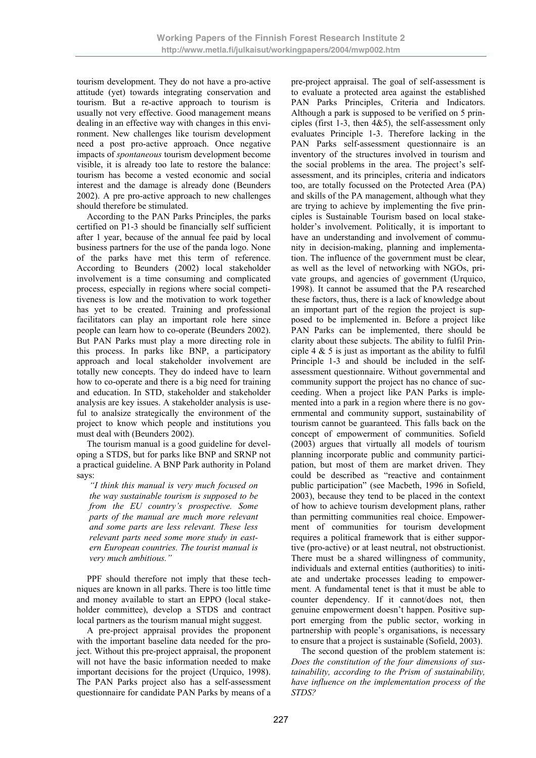tourism development. They do not have a pro-active attitude (yet) towards integrating conservation and tourism. But a re-active approach to tourism is usually not very effective. Good management means dealing in an effective way with changes in this environment. New challenges like tourism development need a post pro-active approach. Once negative impacts of *spontaneous* tourism development become visible, it is already too late to restore the balance: tourism has become a vested economic and social interest and the damage is already done (Beunders 2002). A pre pro-active approach to new challenges should therefore be stimulated.

According to the PAN Parks Principles, the parks certified on P1-3 should be financially self sufficient after 1 year, because of the annual fee paid by local business partners for the use of the panda logo. None of the parks have met this term of reference. According to Beunders (2002) local stakeholder involvement is a time consuming and complicated process, especially in regions where social competitiveness is low and the motivation to work together has yet to be created. Training and professional facilitators can play an important role here since people can learn how to co-operate (Beunders 2002). But PAN Parks must play a more directing role in this process. In parks like BNP, a participatory approach and local stakeholder involvement are totally new concepts. They do indeed have to learn how to co-operate and there is a big need for training and education. In STD, stakeholder and stakeholder analysis are key issues. A stakeholder analysis is useful to analsize strategically the environment of the project to know which people and institutions you must deal with (Beunders 2002).

The tourism manual is a good guideline for developing a STDS, but for parks like BNP and SRNP not a practical guideline. A BNP Park authority in Poland says:

*"I think this manual is very much focused on the way sustainable tourism is supposed to be from the EU country's prospective. Some parts of the manual are much more relevant and some parts are less relevant. These less relevant parts need some more study in eastern European countries. The tourist manual is very much ambitious."* 

PPF should therefore not imply that these techniques are known in all parks. There is too little time and money available to start an EPPO (local stakeholder committee), develop a STDS and contract local partners as the tourism manual might suggest.

A pre-project appraisal provides the proponent with the important baseline data needed for the project. Without this pre-project appraisal, the proponent will not have the basic information needed to make important decisions for the project (Urquico, 1998). The PAN Parks project also has a self-assessment questionnaire for candidate PAN Parks by means of a pre-project appraisal. The goal of self-assessment is to evaluate a protected area against the established PAN Parks Principles, Criteria and Indicators. Although a park is supposed to be verified on 5 principles (first 1-3, then  $4&5$ ), the self-assessment only evaluates Principle 1-3. Therefore lacking in the PAN Parks self-assessment questionnaire is an inventory of the structures involved in tourism and the social problems in the area. The project's selfassessment, and its principles, criteria and indicators too, are totally focussed on the Protected Area (PA) and skills of the PA management, although what they are trying to achieve by implementing the five principles is Sustainable Tourism based on local stakeholder's involvement. Politically, it is important to have an understanding and involvement of community in decision-making, planning and implementation. The influence of the government must be clear, as well as the level of networking with NGOs, private groups, and agencies of government (Urquico, 1998). It cannot be assumed that the PA researched these factors, thus, there is a lack of knowledge about an important part of the region the project is supposed to be implemented in. Before a project like PAN Parks can be implemented, there should be clarity about these subjects. The ability to fulfil Principle 4  $\&$  5 is just as important as the ability to fulfil Principle 1-3 and should be included in the selfassessment questionnaire. Without governmental and community support the project has no chance of succeeding. When a project like PAN Parks is implemented into a park in a region where there is no governmental and community support, sustainability of tourism cannot be guaranteed. This falls back on the concept of empowerment of communities. Sofield (2003) argues that virtually all models of tourism planning incorporate public and community participation, but most of them are market driven. They could be described as "reactive and containment public participation" (see Macbeth, 1996 in Sofield, 2003), because they tend to be placed in the context of how to achieve tourism development plans, rather than permitting communities real choice. Empowerment of communities for tourism development requires a political framework that is either supportive (pro-active) or at least neutral, not obstructionist. There must be a shared willingness of community, individuals and external entities (authorities) to initiate and undertake processes leading to empowerment. A fundamental tenet is that it must be able to counter dependency. If it cannot/does not, then genuine empowerment doesn't happen. Positive support emerging from the public sector, working in partnership with people's organisations, is necessary to ensure that a project is sustainable (Sofield, 2003).

The second question of the problem statement is: *Does the constitution of the four dimensions of sustainability, according to the Prism of sustainability, have influence on the implementation process of the STDS?*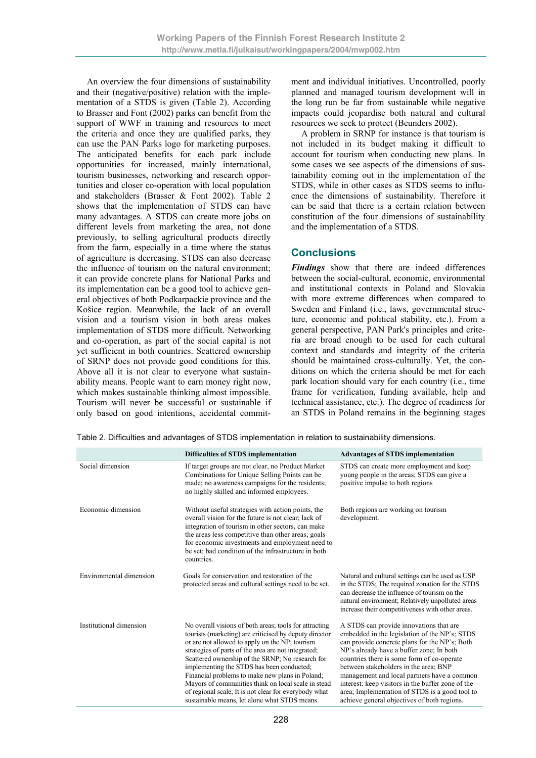An overview the four dimensions of sustainability and their (negative/positive) relation with the implementation of a STDS is given (Table 2). According to Brasser and Font (2002) parks can benefit from the support of WWF in training and resources to meet the criteria and once they are qualified parks, they can use the PAN Parks logo for marketing purposes. The anticipated benefits for each park include opportunities for increased, mainly international, tourism businesses, networking and research opportunities and closer co-operation with local population and stakeholders (Brasser & Font 2002). Table 2 shows that the implementation of STDS can have many advantages. A STDS can create more jobs on different levels from marketing the area, not done previously, to selling agricultural products directly from the farm, especially in a time where the status of agriculture is decreasing. STDS can also decrease the influence of tourism on the natural environment; it can provide concrete plans for National Parks and its implementation can be a good tool to achieve general objectives of both Podkarpackie province and the Košice region. Meanwhile, the lack of an overall vision and a tourism vision in both areas makes implementation of STDS more difficult. Networking and co-operation, as part of the social capital is not yet sufficient in both countries. Scattered ownership of SRNP does not provide good conditions for this. Above all it is not clear to everyone what sustainability means. People want to earn money right now, which makes sustainable thinking almost impossible. Tourism will never be successful or sustainable if only based on good intentions, accidental commitment and individual initiatives. Uncontrolled, poorly planned and managed tourism development will in the long run be far from sustainable while negative impacts could jeopardise both natural and cultural resources we seek to protect (Beunders 2002).

A problem in SRNP for instance is that tourism is not included in its budget making it difficult to account for tourism when conducting new plans. In some cases we see aspects of the dimensions of sustainability coming out in the implementation of the STDS, while in other cases as STDS seems to influence the dimensions of sustainability. Therefore it can be said that there is a certain relation between constitution of the four dimensions of sustainability and the implementation of a STDS.

### **Conclusions**

*Findings* show that there are indeed differences between the social-cultural, economic, environmental and institutional contexts in Poland and Slovakia with more extreme differences when compared to Sweden and Finland (i.e., laws, governmental structure, economic and political stability, etc.). From a general perspective, PAN Park's principles and criteria are broad enough to be used for each cultural context and standards and integrity of the criteria should be maintained cross-culturally. Yet, the conditions on which the criteria should be met for each park location should vary for each country (i.e., time frame for verification, funding available, help and technical assistance, etc.). The degree of readiness for an STDS in Poland remains in the beginning stages

|                         | Difficulties of STDS implementation                                                                                                                                                                                                                                                                                                                                                                                                                                                                                                            | <b>Advantages of STDS implementation</b>                                                                                                                                                                                                                                                                                                                                                                                                                                          |
|-------------------------|------------------------------------------------------------------------------------------------------------------------------------------------------------------------------------------------------------------------------------------------------------------------------------------------------------------------------------------------------------------------------------------------------------------------------------------------------------------------------------------------------------------------------------------------|-----------------------------------------------------------------------------------------------------------------------------------------------------------------------------------------------------------------------------------------------------------------------------------------------------------------------------------------------------------------------------------------------------------------------------------------------------------------------------------|
| Social dimension        | If target groups are not clear, no Product Market<br>Combinations for Unique Selling Points can be<br>made; no awareness campaigns for the residents;<br>no highly skilled and informed employees.                                                                                                                                                                                                                                                                                                                                             | STDS can create more employment and keep<br>young people in the areas; STDS can give a<br>positive impulse to both regions                                                                                                                                                                                                                                                                                                                                                        |
| Economic dimension      | Without useful strategies with action points, the<br>overall vision for the future is not clear; lack of<br>integration of tourism in other sectors, can make<br>the areas less competitive than other areas; goals<br>for economic investments and employment need to<br>be set; bad condition of the infrastructure in both<br>countries.                                                                                                                                                                                                    | Both regions are working on tourism<br>development.                                                                                                                                                                                                                                                                                                                                                                                                                               |
| Environmental dimension | Goals for conservation and restoration of the<br>protected areas and cultural settings need to be set.                                                                                                                                                                                                                                                                                                                                                                                                                                         | Natural and cultural settings can be used as USP<br>in the STDS; The required zonation for the STDS<br>can decrease the influence of tourism on the<br>natural environment; Relatively unpolluted areas<br>increase their competitiveness with other areas.                                                                                                                                                                                                                       |
| Institutional dimension | No overall visions of both areas; tools for attracting<br>tourists (marketing) are criticised by deputy director<br>or are not allowed to apply on the NP; tourism<br>strategies of parts of the area are not integrated;<br>Scattered ownership of the SRNP; No research for<br>implementing the STDS has been conducted;<br>Financial problems to make new plans in Poland;<br>Mayors of communities think on local scale in stead<br>of regional scale; It is not clear for everybody what<br>sustainable means, let alone what STDS means. | A STDS can provide innovations that are<br>embedded in the legislation of the NP's; STDS<br>can provide concrete plans for the NP's; Both<br>NP's already have a buffer zone; In both<br>countries there is some form of co-operate<br>between stakeholders in the area; BNP<br>management and local partners have a common<br>interest: keep visitors in the buffer zone of the<br>area; Implementation of STDS is a good tool to<br>achieve general objectives of both regions. |

Table 2. Difficulties and advantages of STDS implementation in relation to sustainability dimensions.